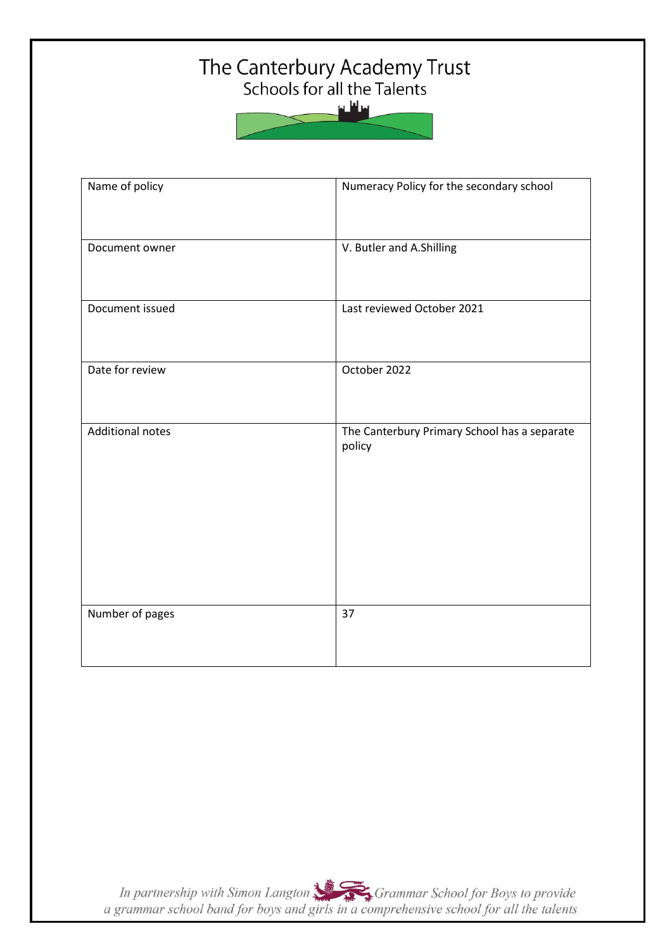# The Canterbury Academy Trust<br>Schools for all the Talents

سافلس

| Name of policy          | Numeracy Policy for the secondary school               |  |
|-------------------------|--------------------------------------------------------|--|
| Document owner          | V. Butler and A.Shilling                               |  |
| Document issued         | Last reviewed October 2021                             |  |
| Date for review         | October 2022                                           |  |
| <b>Additional notes</b> | The Canterbury Primary School has a separate<br>policy |  |
|                         |                                                        |  |
|                         |                                                        |  |
| Number of pages         | 37                                                     |  |
|                         |                                                        |  |

In partnership with Simon Langton Sexting Grammar School for Boys to provide<br>a grammar school band for boys and girls in a comprehensive school for all the talents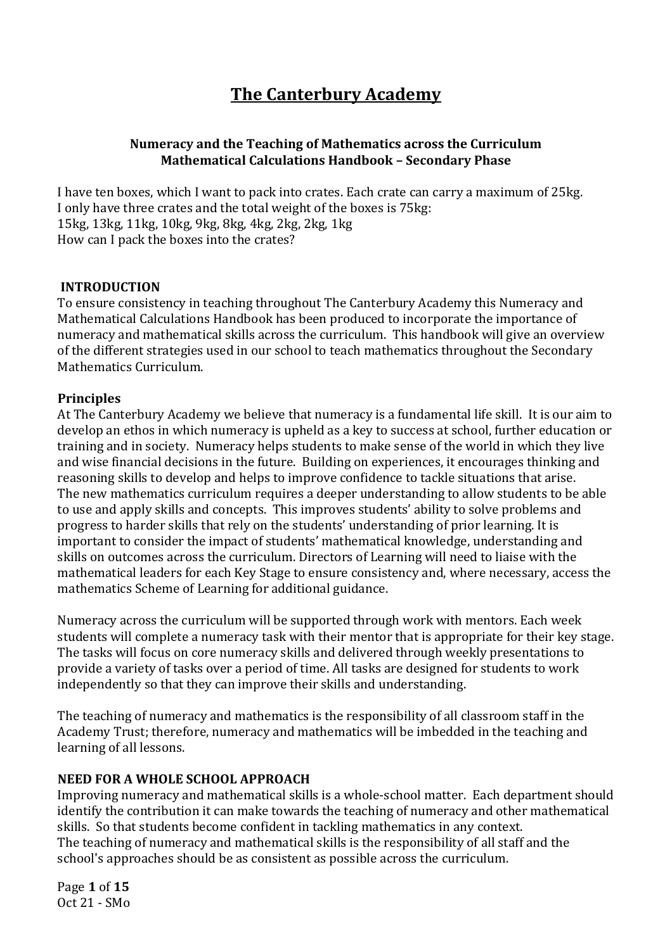## **The Canterbury Academy**

#### **Numeracy and the Teaching of Mathematics across the Curriculum Mathematical Calculations Handbook – Secondary Phase**

I have ten boxes, which I want to pack into crates. Each crate can carry a maximum of 25kg. I only have three crates and the total weight of the boxes is 75kg: 15kg, 13kg, 11kg, 10kg, 9kg, 8kg, 4kg, 2kg, 2kg, 1kg How can I pack the boxes into the crates?

#### **INTRODUCTION**

To ensure consistency in teaching throughout The Canterbury Academy this Numeracy and Mathematical Calculations Handbook has been produced to incorporate the importance of numeracy and mathematical skills across the curriculum. This handbook will give an overview of the different strategies used in our school to teach mathematics throughout the Secondary Mathematics Curriculum.

#### **Principles**

At The Canterbury Academy we believe that numeracy is a fundamental life skill. It is our aim to develop an ethos in which numeracy is upheld as a key to success at school, further education or training and in society. Numeracy helps students to make sense of the world in which they live and wise financial decisions in the future. Building on experiences, it encourages thinking and reasoning skills to develop and helps to improve confidence to tackle situations that arise. The new mathematics curriculum requires a deeper understanding to allow students to be able to use and apply skills and concepts. This improves students' ability to solve problems and progress to harder skills that rely on the students' understanding of prior learning. It is important to consider the impact of students' mathematical knowledge, understanding and skills on outcomes across the curriculum. Directors of Learning will need to liaise with the mathematical leaders for each Key Stage to ensure consistency and, where necessary, access the mathematics Scheme of Learning for additional guidance.

Numeracy across the curriculum will be supported through work with mentors. Each week students will complete a numeracy task with their mentor that is appropriate for their key stage. The tasks will focus on core numeracy skills and delivered through weekly presentations to provide a variety of tasks over a period of time. All tasks are designed for students to work independently so that they can improve their skills and understanding.

The teaching of numeracy and mathematics is the responsibility of all classroom staff in the Academy Trust; therefore, numeracy and mathematics will be imbedded in the teaching and learning of all lessons.

## **NEED FOR A WHOLE SCHOOL APPROACH**

Improving numeracy and mathematical skills is a whole-school matter. Each department should identify the contribution it can make towards the teaching of numeracy and other mathematical skills. So that students become confident in tackling mathematics in any context. The teaching of numeracy and mathematical skills is the responsibility of all staff and the school's approaches should be as consistent as possible across the curriculum.

Page **1** of **15** Oct 21 - SMo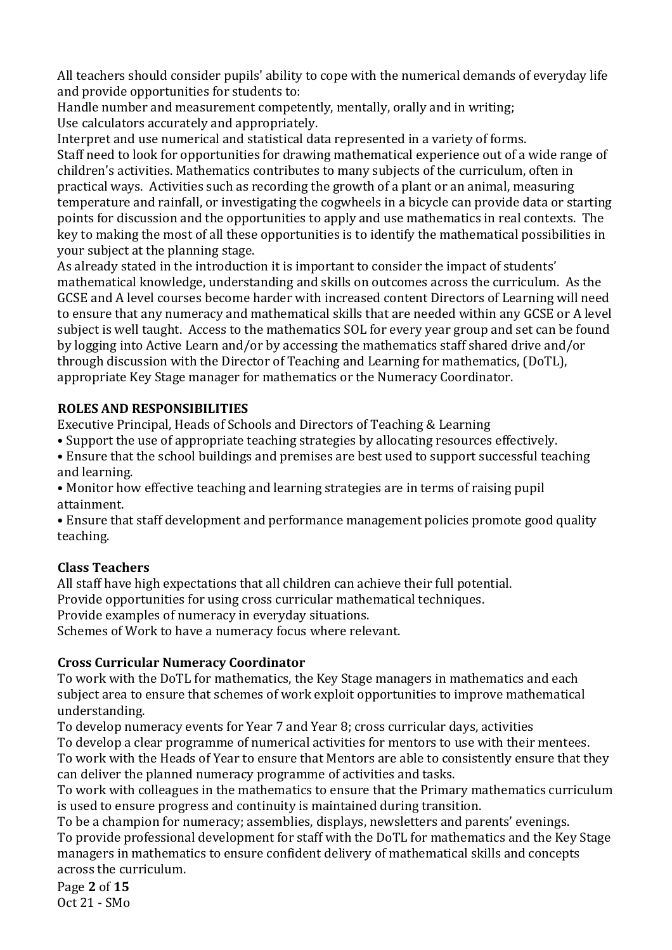All teachers should consider pupils' ability to cope with the numerical demands of everyday life and provide opportunities for students to:

Handle number and measurement competently, mentally, orally and in writing; Use calculators accurately and appropriately.

Interpret and use numerical and statistical data represented in a variety of forms.

Staff need to look for opportunities for drawing mathematical experience out of a wide range of children's activities. Mathematics contributes to many subjects of the curriculum, often in practical ways. Activities such as recording the growth of a plant or an animal, measuring temperature and rainfall, or investigating the cogwheels in a bicycle can provide data or starting points for discussion and the opportunities to apply and use mathematics in real contexts. The key to making the most of all these opportunities is to identify the mathematical possibilities in your subject at the planning stage.

As already stated in the introduction it is important to consider the impact of students' mathematical knowledge, understanding and skills on outcomes across the curriculum. As the GCSE and A level courses become harder with increased content Directors of Learning will need to ensure that any numeracy and mathematical skills that are needed within any GCSE or A level subject is well taught. Access to the mathematics SOL for every year group and set can be found by logging into Active Learn and/or by accessing the mathematics staff shared drive and/or through discussion with the Director of Teaching and Learning for mathematics, (DoTL), appropriate Key Stage manager for mathematics or the Numeracy Coordinator.

## **ROLES AND RESPONSIBILITIES**

Executive Principal, Heads of Schools and Directors of Teaching & Learning

- Support the use of appropriate teaching strategies by allocating resources effectively.
- Ensure that the school buildings and premises are best used to support successful teaching and learning.
- Monitor how effective teaching and learning strategies are in terms of raising pupil attainment.

• Ensure that staff development and performance management policies promote good quality teaching.

## **Class Teachers**

All staff have high expectations that all children can achieve their full potential. Provide opportunities for using cross curricular mathematical techniques. Provide examples of numeracy in everyday situations. Schemes of Work to have a numeracy focus where relevant.

## **Cross Curricular Numeracy Coordinator**

To work with the DoTL for mathematics, the Key Stage managers in mathematics and each subject area to ensure that schemes of work exploit opportunities to improve mathematical understanding.

To develop numeracy events for Year 7 and Year 8; cross curricular days, activities To develop a clear programme of numerical activities for mentors to use with their mentees. To work with the Heads of Year to ensure that Mentors are able to consistently ensure that they can deliver the planned numeracy programme of activities and tasks.

To work with colleagues in the mathematics to ensure that the Primary mathematics curriculum is used to ensure progress and continuity is maintained during transition.

To be a champion for numeracy; assemblies, displays, newsletters and parents' evenings. To provide professional development for staff with the DoTL for mathematics and the Key Stage managers in mathematics to ensure confident delivery of mathematical skills and concepts across the curriculum.

Page **2** of **15** Oct 21 - SMo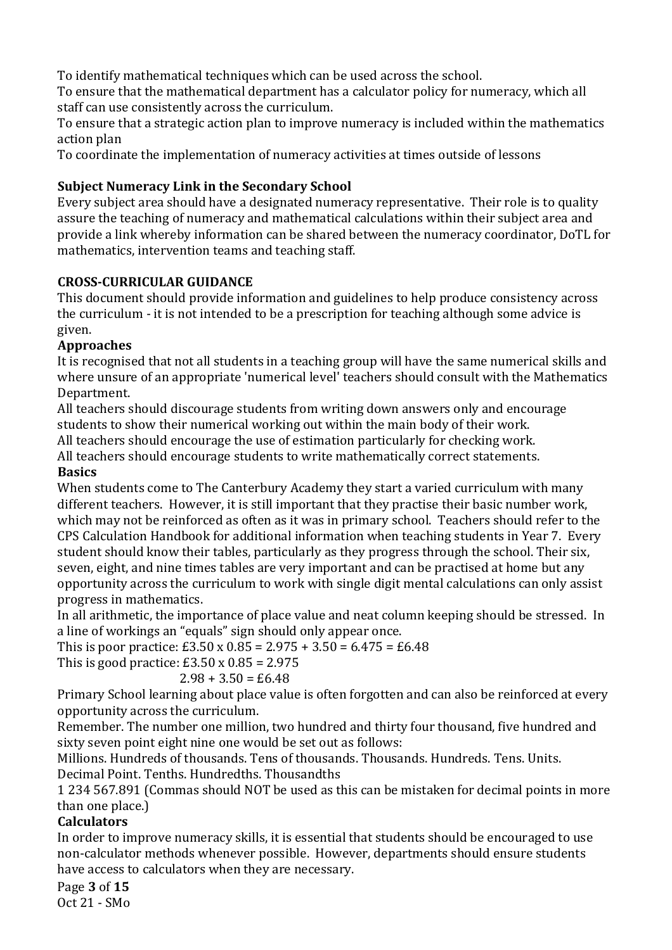To identify mathematical techniques which can be used across the school.

To ensure that the mathematical department has a calculator policy for numeracy, which all staff can use consistently across the curriculum.

To ensure that a strategic action plan to improve numeracy is included within the mathematics action plan

To coordinate the implementation of numeracy activities at times outside of lessons

## **Subject Numeracy Link in the Secondary School**

Every subject area should have a designated numeracy representative. Their role is to quality assure the teaching of numeracy and mathematical calculations within their subject area and provide a link whereby information can be shared between the numeracy coordinator, DoTL for mathematics, intervention teams and teaching staff.

## **CROSS-CURRICULAR GUIDANCE**

This document should provide information and guidelines to help produce consistency across the curriculum - it is not intended to be a prescription for teaching although some advice is given.

## **Approaches**

It is recognised that not all students in a teaching group will have the same numerical skills and where unsure of an appropriate 'numerical level' teachers should consult with the Mathematics Department.

All teachers should discourage students from writing down answers only and encourage students to show their numerical working out within the main body of their work.

All teachers should encourage the use of estimation particularly for checking work.

All teachers should encourage students to write mathematically correct statements.

## **Basics**

When students come to The Canterbury Academy they start a varied curriculum with many different teachers. However, it is still important that they practise their basic number work, which may not be reinforced as often as it was in primary school. Teachers should refer to the CPS Calculation Handbook for additional information when teaching students in Year 7. Every student should know their tables, particularly as they progress through the school. Their six, seven, eight, and nine times tables are very important and can be practised at home but any opportunity across the curriculum to work with single digit mental calculations can only assist progress in mathematics.

In all arithmetic, the importance of place value and neat column keeping should be stressed. In a line of workings an "equals" sign should only appear once.

This is poor practice:  $£3.50 \times 0.85 = 2.975 + 3.50 = 6.475 = £6.48$ 

This is good practice:  $£3.50 \times 0.85 = 2.975$ 

## $2.98 + 3.50 = £6.48$

Primary School learning about place value is often forgotten and can also be reinforced at every opportunity across the curriculum.

Remember. The number one million, two hundred and thirty four thousand, five hundred and sixty seven point eight nine one would be set out as follows:

Millions. Hundreds of thousands. Tens of thousands. Thousands. Hundreds. Tens. Units. Decimal Point. Tenths. Hundredths. Thousandths

1 234 567.891 (Commas should NOT be used as this can be mistaken for decimal points in more than one place.)

## **Calculators**

In order to improve numeracy skills, it is essential that students should be encouraged to use non-calculator methods whenever possible. However, departments should ensure students have access to calculators when they are necessary.

#### Page **3** of **15** Oct 21 - SMo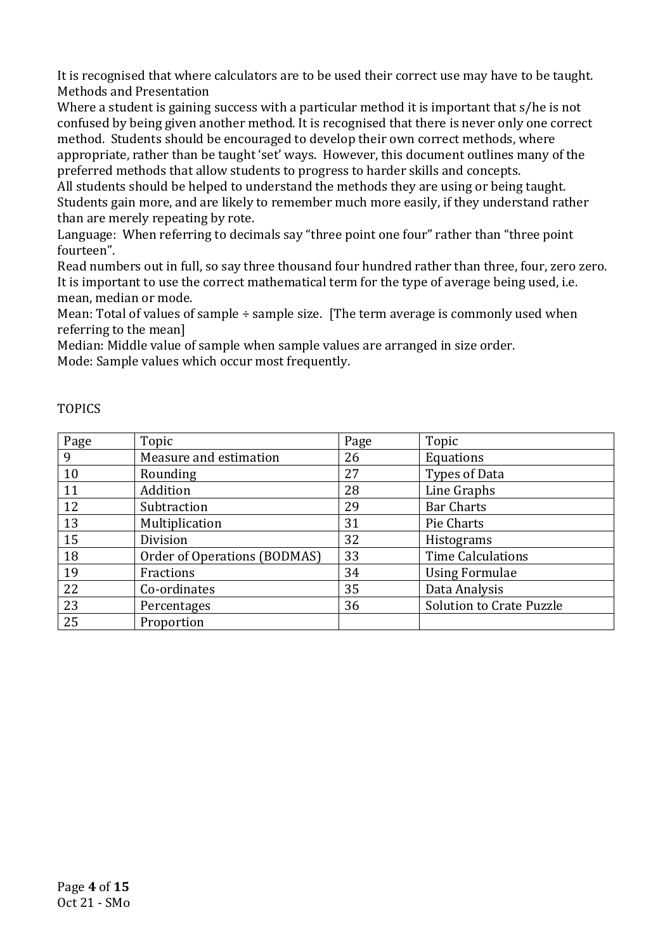It is recognised that where calculators are to be used their correct use may have to be taught. Methods and Presentation

Where a student is gaining success with a particular method it is important that s/he is not confused by being given another method. It is recognised that there is never only one correct method. Students should be encouraged to develop their own correct methods, where appropriate, rather than be taught 'set' ways. However, this document outlines many of the preferred methods that allow students to progress to harder skills and concepts.

All students should be helped to understand the methods they are using or being taught. Students gain more, and are likely to remember much more easily, if they understand rather than are merely repeating by rote.

Language: When referring to decimals say "three point one four" rather than "three point fourteen".

Read numbers out in full, so say three thousand four hundred rather than three, four, zero zero. It is important to use the correct mathematical term for the type of average being used, i.e. mean, median or mode.

Mean: Total of values of sample ÷ sample size. [The term average is commonly used when referring to the mean]

Median: Middle value of sample when sample values are arranged in size order. Mode: Sample values which occur most frequently.

| Page | Topic                        | Page | Topic                           |
|------|------------------------------|------|---------------------------------|
| 9    | Measure and estimation       | 26   | Equations                       |
| 10   | Rounding                     | 27   | Types of Data                   |
| 11   | Addition                     | 28   | Line Graphs                     |
| 12   | Subtraction                  | 29   | <b>Bar Charts</b>               |
| 13   | Multiplication               | 31   | Pie Charts                      |
| 15   | Division                     | 32   | Histograms                      |
| 18   | Order of Operations (BODMAS) | 33   | <b>Time Calculations</b>        |
| 19   | Fractions                    | 34   | <b>Using Formulae</b>           |
| 22   | Co-ordinates                 | 35   | Data Analysis                   |
| 23   | Percentages                  | 36   | <b>Solution to Crate Puzzle</b> |
| 25   | Proportion                   |      |                                 |

#### TOPICS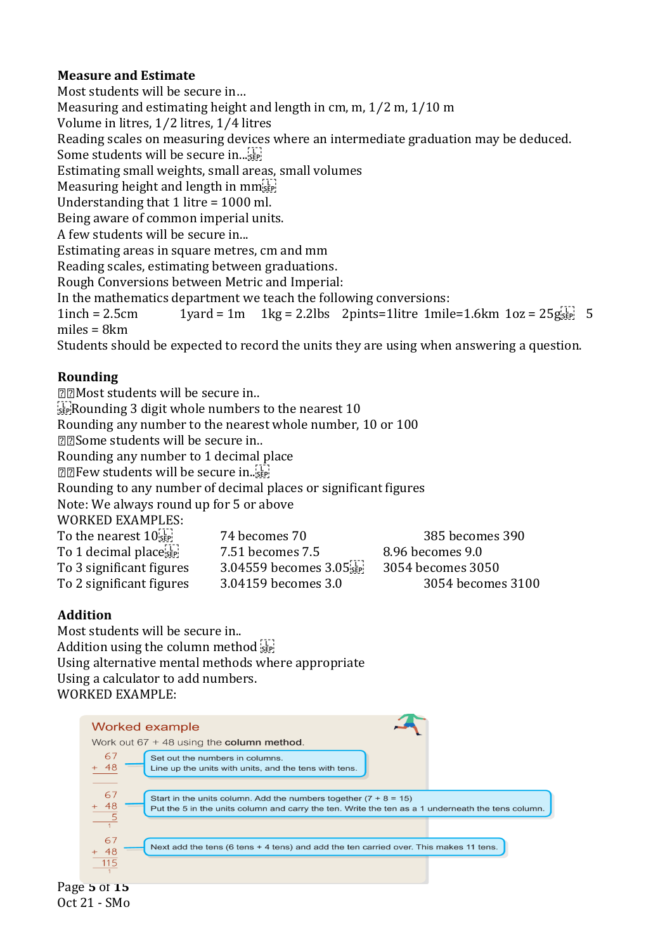## **Measure and Estimate**

Most students will be secure in… Measuring and estimating height and length in cm, m, 1⁄2 m, 1/10 m Volume in litres, 1⁄2 litres, 1⁄4 litres Reading scales on measuring devices where an intermediate graduation may be deduced. Some students will be secure in...<sup>[17]</sup> Estimating small weights, small areas, small volumes Measuring height and length in  $mm_{\rm sF}^{[1]}$ Understanding that 1 litre = 1000 ml. Being aware of common imperial units. A few students will be secure in... Estimating areas in square metres, cm and mm Reading scales, estimating between graduations. Rough Conversions between Metric and Imperial: In the mathematics department we teach the following conversions:  $1$ inch = 2.5cm 1yard = 1m 1kg = 2.2lbs 2pints=1litre 1mile=1.6km 1oz =  $25g_{\text{SSE}}^{[1]}$  5 miles = 8km Students should be expected to record the units they are using when answering a question.

## **Rounding**

| 22Most students will be secure in                          |                                                                    |                   |  |  |
|------------------------------------------------------------|--------------------------------------------------------------------|-------------------|--|--|
|                                                            | $\frac{[11]}{35}$ Rounding 3 digit whole numbers to the nearest 10 |                   |  |  |
| Rounding any number to the nearest whole number, 10 or 100 |                                                                    |                   |  |  |
| 22Some students will be secure in                          |                                                                    |                   |  |  |
| Rounding any number to 1 decimal place                     |                                                                    |                   |  |  |
| <b>ZZIFew students will be secure in</b>                   |                                                                    |                   |  |  |
|                                                            | Rounding to any number of decimal places or significant figures    |                   |  |  |
| Note: We always round up for 5 or above                    |                                                                    |                   |  |  |
| <b>WORKED EXAMPLES:</b>                                    |                                                                    |                   |  |  |
| To the nearest $10$ <sub>see</sub>                         | 74 becomes 70                                                      | 385 becomes 390   |  |  |
| To 1 decimal place sep                                     | 7.51 becomes 7.5                                                   | 8.96 becomes 9.0  |  |  |
| To 3 significant figures                                   | 3.04559 becomes 3.05 sep.                                          | 3054 becomes 3050 |  |  |

To 2 significant figures 3.04159 becomes 3.0 3054 becomes 3100

## **Addition**

Most students will be secure in.. Addition using the column method sep-Using alternative mental methods where appropriate Using a calculator to add numbers. WORKED EXAMPLE:

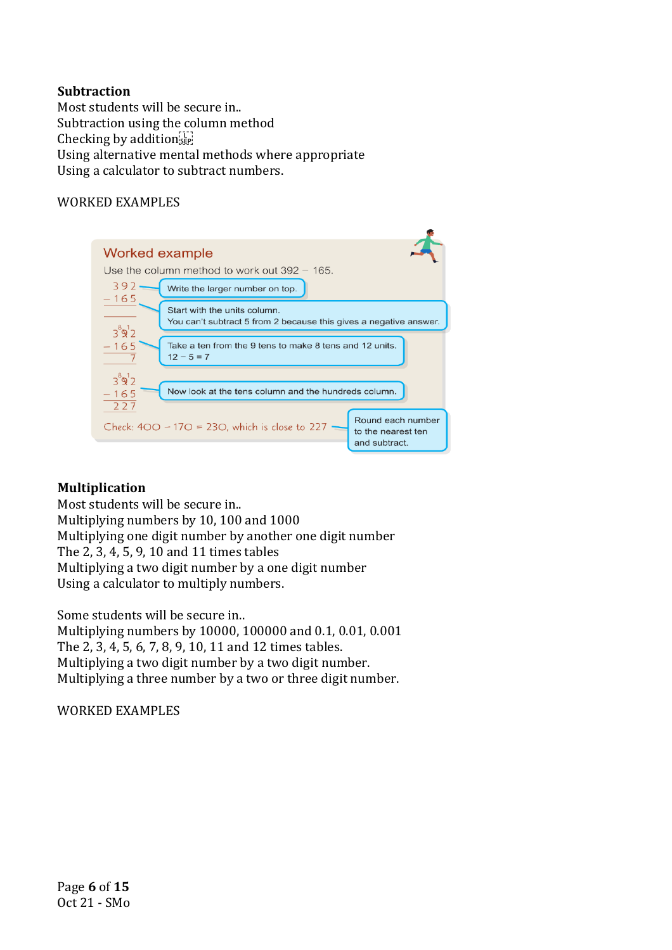#### **Subtraction**

Most students will be secure in.. Subtraction using the column method Checking by addition Using alternative mental methods where appropriate Using a calculator to subtract numbers.

#### WORKED EXAMPLES



#### **Multiplication**

Most students will be secure in.. Multiplying numbers by 10, 100 and 1000 Multiplying one digit number by another one digit number The 2, 3, 4, 5, 9, 10 and 11 times tables Multiplying a two digit number by a one digit number Using a calculator to multiply numbers.

Some students will be secure in..

Multiplying numbers by 10000, 100000 and 0.1, 0.01, 0.001 The 2, 3, 4, 5, 6, 7, 8, 9, 10, 11 and 12 times tables. Multiplying a two digit number by a two digit number. Multiplying a three number by a two or three digit number.

WORKED EXAMPLES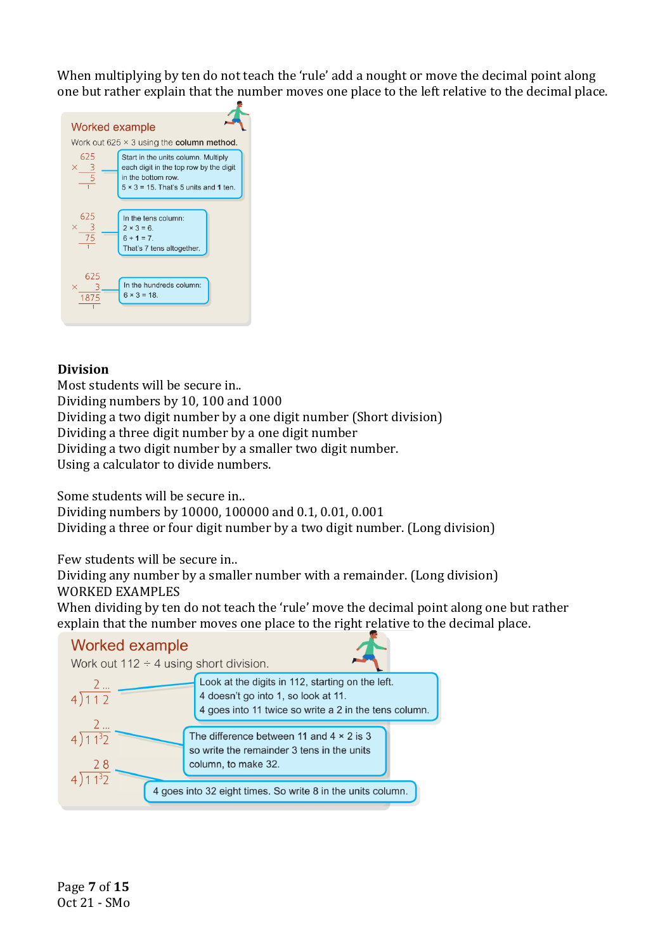When multiplying by ten do not teach the 'rule' add a nought or move the decimal point along one but rather explain that the number moves one place to the left relative to the decimal place.



#### **Division**

Most students will be secure in.. Dividing numbers by 10, 100 and 1000 Dividing a two digit number by a one digit number (Short division) Dividing a three digit number by a one digit number Dividing a two digit number by a smaller two digit number. Using a calculator to divide numbers.

Some students will be secure in..

Dividing numbers by 10000, 100000 and 0.1, 0.01, 0.001 Dividing a three or four digit number by a two digit number. (Long division)

Few students will be secure in..

Dividing any number by a smaller number with a remainder. (Long division) WORKED EXAMPLES

When dividing by ten do not teach the 'rule' move the decimal point along one but rather explain that the number moves one place to the right relative to the decimal place.

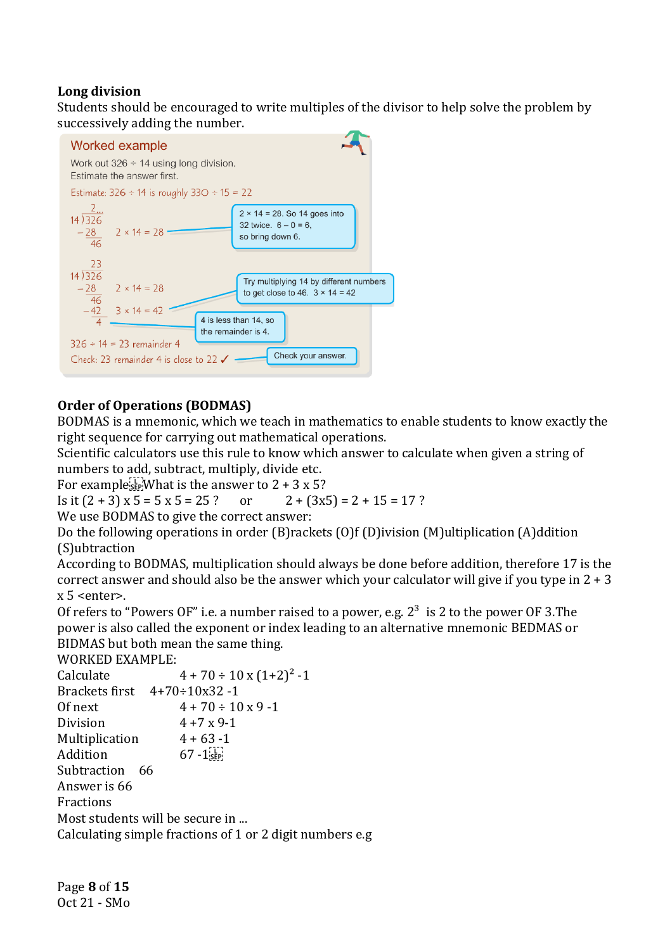## **Long division**

Students should be encouraged to write multiples of the divisor to help solve the problem by successively adding the number.



## **Order of Operations (BODMAS)**

BODMAS is a mnemonic, which we teach in mathematics to enable students to know exactly the right sequence for carrying out mathematical operations.

Scientific calculators use this rule to know which answer to calculate when given a string of numbers to add, subtract, multiply, divide etc.

For example  $\frac{1}{2}$  What is the answer to 2 + 3 x 5?

Is it  $(2 + 3) \times 5 = 5 \times 5 = 25$ ? or  $2 + (3 \times 5) = 2 + 15 = 17$ ?

We use BODMAS to give the correct answer:

Do the following operations in order (B)rackets (O)f (D)ivision (M)ultiplication (A)ddition (S)ubtraction

According to BODMAS, multiplication should always be done before addition, therefore 17 is the correct answer and should also be the answer which your calculator will give if you type in  $2 + 3$  $x 5$  <enter>.

Of refers to "Powers OF" i.e. a number raised to a power, e.g.  $2^3$  is 2 to the power OF 3. The power is also called the exponent or index leading to an alternative mnemonic BEDMAS or BIDMAS but both mean the same thing.

WORKED EXAMPLE:

| Calculate                                   | $4 + 70 \div 10 \times (1 + 2)^2 - 1$                    |
|---------------------------------------------|----------------------------------------------------------|
| Brackets first $4+70 \div 10 \times 32 - 1$ |                                                          |
| Of next                                     | $4 + 70 \div 10 \times 9 - 1$                            |
| Division                                    | $4 + 7 \times 9 - 1$                                     |
| Multiplication                              | $4 + 63 - 1$                                             |
| Addition                                    | $67 - 1$ <sub>SEP</sub>                                  |
| Subtraction 66                              |                                                          |
| Answer is 66                                |                                                          |
| Fractions                                   |                                                          |
| Most students will be secure in             |                                                          |
|                                             | Calculating simple fractions of 1 or 2 digit numbers e.g |
|                                             |                                                          |

Page **8** of **15** Oct 21 - SMo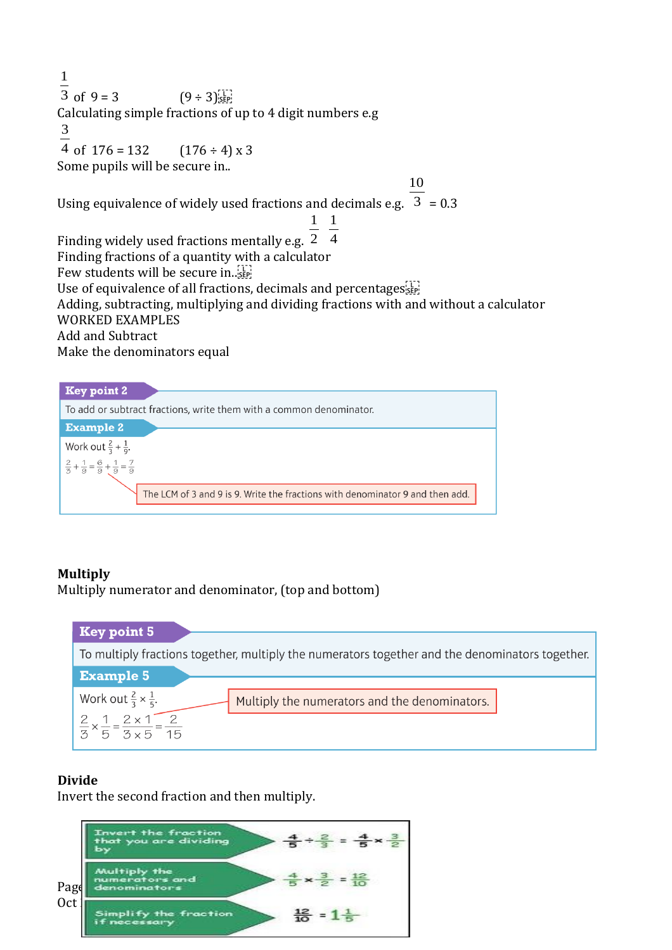1  $\frac{1}{3}$  of 9 = 3  $(9 \div 3)_{\text{SEP}}^{11}$ Calculating simple fractions of up to 4 digit numbers e.g 3 4 of  $176 = 132$   $(176 \div 4) \times 3$ Some pupils will be secure in.. Using equivalence of widely used fractions and decimals e.g.  $3 = 0.3$ 10 Finding widely used fractions mentally e.g. 2 1 1  $\overline{4}$ Finding fractions of a quantity with a calculator Few students will be secure in... Use of equivalence of all fractions, decimals and percentages  $\overline{S}$ Adding, subtracting, multiplying and dividing fractions with and without a calculator WORKED EXAMPLES Add and Subtract Make the denominators equal

| <b>Key point 2</b>                                                    |                                                                               |
|-----------------------------------------------------------------------|-------------------------------------------------------------------------------|
|                                                                       | To add or subtract fractions, write them with a common denominator.           |
| <b>Example 2</b>                                                      |                                                                               |
| Work out $\frac{2}{3} + \frac{1}{9}$ .                                |                                                                               |
| $\frac{2}{3} + \frac{1}{9} = \frac{6}{9} + \frac{1}{9} = \frac{7}{9}$ |                                                                               |
|                                                                       | The LCM of 3 and 9 is 9. Write the fractions with denominator 9 and then add. |

## **Multiply**

Multiply numerator and denominator, (top and bottom)



## **Divide**

Invert the second fraction and then multiply.

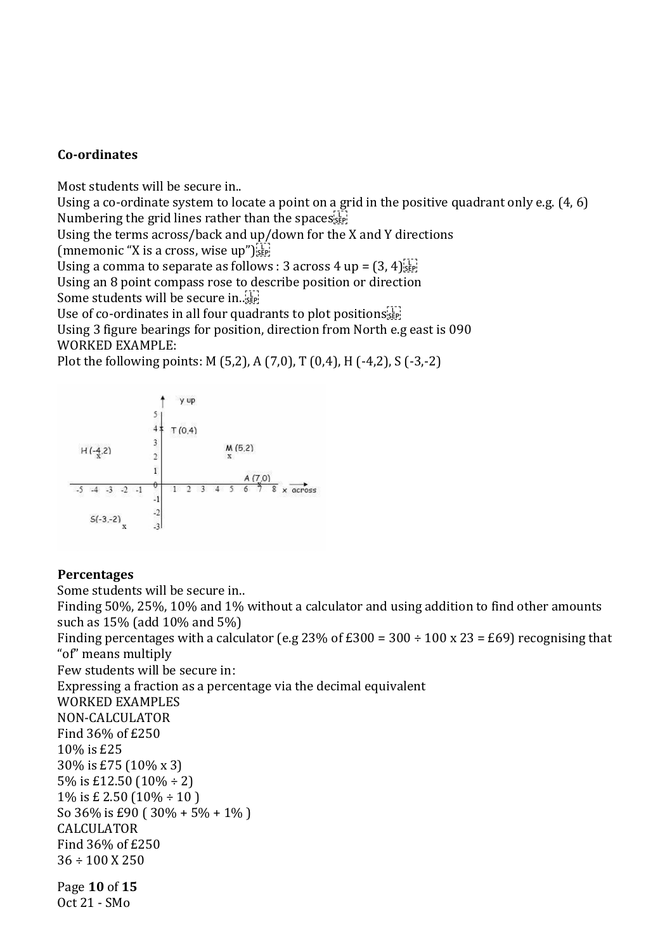#### **Co-ordinates**

Most students will be secure in..

Using a co-ordinate system to locate a point on a grid in the positive quadrant only e.g. (4, 6) Numbering the grid lines rather than the spaces  $\overline{s_{\text{self}}}$ 

Using the terms across/back and up/down for the X and Y directions

(mnemonic "X is a cross, wise up") $\frac{[1]}{[3]}\frac{[1]}{[3]}$ 

Using a comma to separate as follows : 3 across 4 up =  $(3, 4)$ [1]

Using an 8 point compass rose to describe position or direction

Some students will be secure in... SEP!

Use of co-ordinates in all four quadrants to plot positions<sup>[17]</sup>

Using 3 figure bearings for position, direction from North e.g east is 090 WORKED EXAMPLE:

Plot the following points: M (5,2), A (7,0), T (0,4), H (-4,2), S (-3,-2)



#### **Percentages**

Page **10** of **15** Oct 21 - SMo Some students will be secure in.. Finding 50%, 25%, 10% and 1% without a calculator and using addition to find other amounts such as 15% (add 10% and 5%) Finding percentages with a calculator (e.g 23% of £300 = 300 ÷ 100 x 23 = £69) recognising that "of" means multiply Few students will be secure in: Expressing a fraction as a percentage via the decimal equivalent WORKED EXAMPLES NON-CALCULATOR Find 36% of £250 10% is £25 30% is £75 (10% x 3) 5% is £12.50 (10% ÷ 2) 1% is £ 2.50  $(10\% \div 10)$ So 36% is £90 ( 30% + 5% + 1% ) CALCULATOR Find 36% of £250  $36 \div 100$  X 250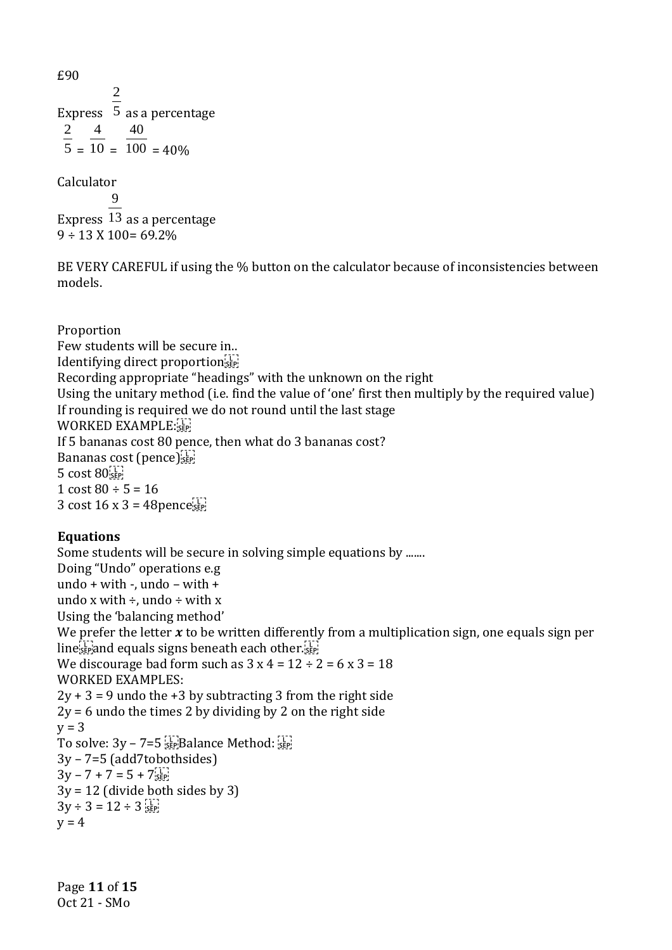£90 Express 5 as a percentage 2 2  $5 =$ 4  $10 =$ 40  $100 = 40\%$ 

Calculator

Express 13 as a percentage 9  $9 \div 13 \times 100 = 69.2\%$ 

BE VERY CAREFUL if using the % button on the calculator because of inconsistencies between models.

Proportion Few students will be secure in.. Identifying direct proportionsEP Recording appropriate "headings" with the unknown on the right Using the unitary method (i.e. find the value of 'one' first then multiply by the required value) If rounding is required we do not round until the last stage WORKED EXAMPLE: If 5 bananas cost 80 pence, then what do 3 bananas cost? Bananas cost (pence) 5 cost 80 1 cost  $80 \div 5 = 16$ 3 cost  $16 \times 3 = 48$ pence $\frac{17}{3}$ 

## **Equations**

Some students will be secure in solving simple equations by ....... Doing "Undo" operations e.g undo + with -, undo – with + undo x with  $\div$ , undo  $\div$  with x Using the 'balancing method' We prefer the letter  $x$  to be written differently from a multiplication sign, one equals sign per  $\lim_{s \to \infty} e_s^{\frac{1}{s}}$  and equals signs beneath each other. We discourage bad form such as  $3 \times 4 = 12 \div 2 = 6 \times 3 = 18$ WORKED EXAMPLES:  $2y + 3 = 9$  undo the  $+3$  by subtracting 3 from the right side  $2y = 6$  undo the times 2 by dividing by 2 on the right side  $v = 3$ To solve:  $3y - 7 = 5 \frac{17}{55}$ Balance Method:  $\frac{17}{55}$ 3y – 7=5 (add7tobothsides)  $3y - 7 + 7 = 5 + 7$  $3y = 12$  (divide both sides by 3)  $3y \div 3 = 12 \div 3$  $v = 4$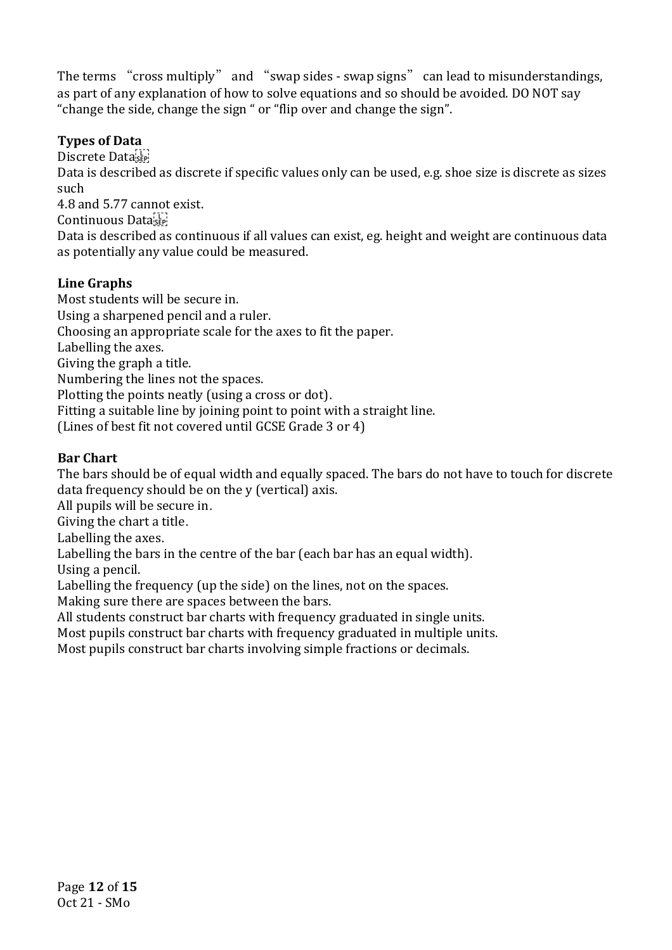The terms "cross multiply" and "swap sides - swap signs" can lead to misunderstandings, as part of any explanation of how to solve equations and so should be avoided. DO NOT say "change the side, change the sign " or "flip over and change the sign".

## **Types of Data**

Discrete Data

Data is described as discrete if specific values only can be used, e.g. shoe size is discrete as sizes such

4.8 and 5.77 cannot exist.

Continuous Data

Data is described as continuous if all values can exist, eg. height and weight are continuous data as potentially any value could be measured.

## **Line Graphs**

Most students will be secure in. Using a sharpened pencil and a ruler. Choosing an appropriate scale for the axes to fit the paper. Labelling the axes. Giving the graph a title. Numbering the lines not the spaces. Plotting the points neatly (using a cross or dot). Fitting a suitable line by joining point to point with a straight line. (Lines of best fit not covered until GCSE Grade 3 or 4)

## **Bar Chart**

The bars should be of equal width and equally spaced. The bars do not have to touch for discrete data frequency should be on the y (vertical) axis.

All pupils will be secure in.

Giving the chart a title.

Labelling the axes.

Labelling the bars in the centre of the bar (each bar has an equal width).

Using a pencil.

Labelling the frequency (up the side) on the lines, not on the spaces.

Making sure there are spaces between the bars.

All students construct bar charts with frequency graduated in single units.

Most pupils construct bar charts with frequency graduated in multiple units.

Most pupils construct bar charts involving simple fractions or decimals.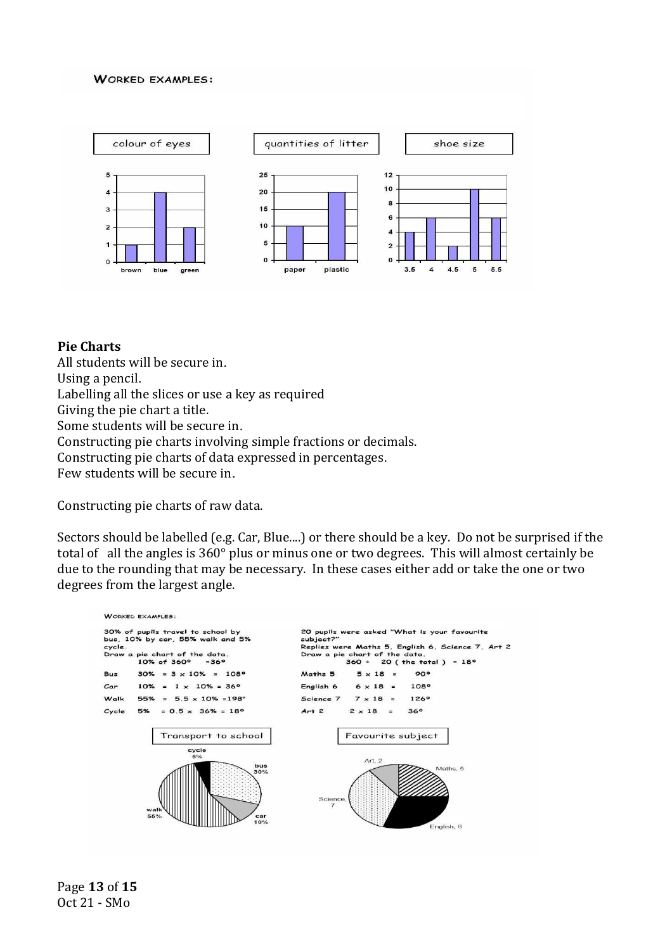#### **WORKED EXAMPLES:**



#### **Pie Charts**

All students will be secure in. Using a pencil. Labelling all the slices or use a key as required Giving the pie chart a title. Some students will be secure in. Constructing pie charts involving simple fractions or decimals. Constructing pie charts of data expressed in percentages. Few students will be secure in.

Constructing pie charts of raw data.

Sectors should be labelled (e.g. Car, Blue....) or there should be a key. Do not be surprised if the total of all the angles is 360° plus or minus one or two degrees. This will almost certainly be due to the rounding that may be necessary. In these cases either add or take the one or two degrees from the largest angle.

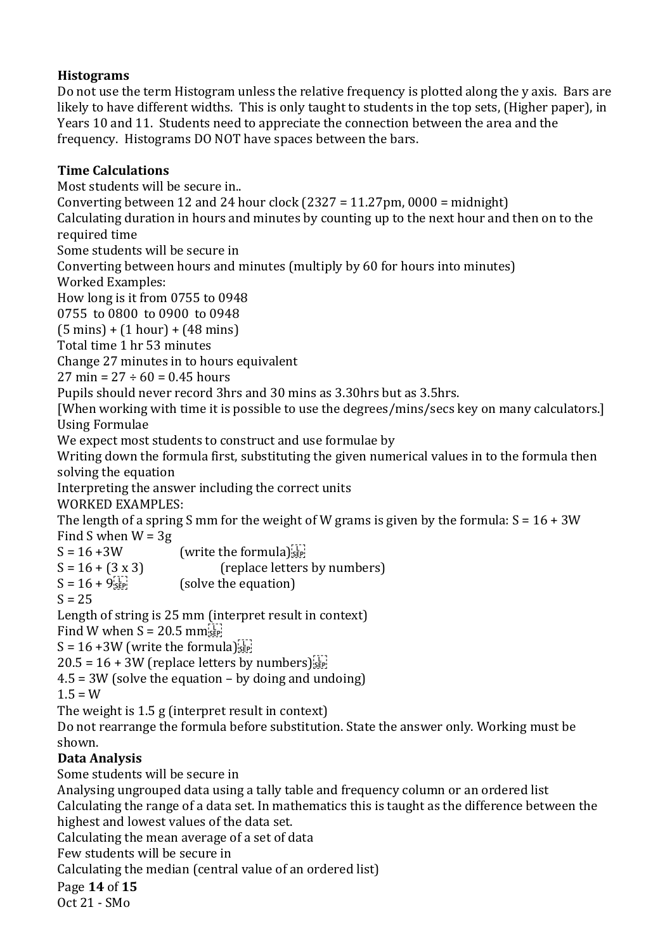## **Histograms**

Do not use the term Histogram unless the relative frequency is plotted along the y axis. Bars are likely to have different widths. This is only taught to students in the top sets, (Higher paper), in Years 10 and 11. Students need to appreciate the connection between the area and the frequency. Histograms DO NOT have spaces between the bars.

## **Time Calculations**

Most students will be secure in.. Converting between 12 and 24 hour clock  $(2327 = 11.27 \text{pm}, 0000 = \text{midnight})$ Calculating duration in hours and minutes by counting up to the next hour and then on to the required time Some students will be secure in Converting between hours and minutes (multiply by 60 for hours into minutes) Worked Examples: How long is it from 0755 to 0948 0755 to 0800 to 0900 to 0948 (5 mins) + (1 hour) + (48 mins) Total time 1 hr 53 minutes Change 27 minutes in to hours equivalent  $27 \text{ min} = 27 \div 60 = 0.45 \text{ hours}$ Pupils should never record 3hrs and 30 mins as 3.30hrs but as 3.5hrs. [When working with time it is possible to use the degrees/mins/secs key on many calculators.] Using Formulae We expect most students to construct and use formulae by Writing down the formula first, substituting the given numerical values in to the formula then solving the equation Interpreting the answer including the correct units WORKED EXAMPLES: The length of a spring S mm for the weight of W grams is given by the formula:  $S = 16 + 3W$ Find S when  $W = 3g$  $S = 16 + 3W$  (write the formula)  $S = 16 + (3 \times 3)$  (replace letters by numbers)  $S = 16 + 9^{\text{L}}_{\text{SEP}}$  (solve the equation)  $S = 25$ Length of string is 25 mm (interpret result in context) Find W when  $S = 20.5$  mm  $S = 16 + 3W$  (write the formula) $\frac{1}{25}$  $20.5 = 16 + 3W$  (replace letters by numbers)  $\frac{17}{15}$  $4.5 = 3W$  (solve the equation – by doing and undoing)  $1.5 = W$ The weight is 1.5 g (interpret result in context) Do not rearrange the formula before substitution. State the answer only. Working must be shown. **Data Analysis** Some students will be secure in Analysing ungrouped data using a tally table and frequency column or an ordered list Calculating the range of a data set. In mathematics this is taught as the difference between the highest and lowest values of the data set. Calculating the mean average of a set of data Few students will be secure in

Calculating the median (central value of an ordered list)

## Page **14** of **15**

Oct 21 - SMo